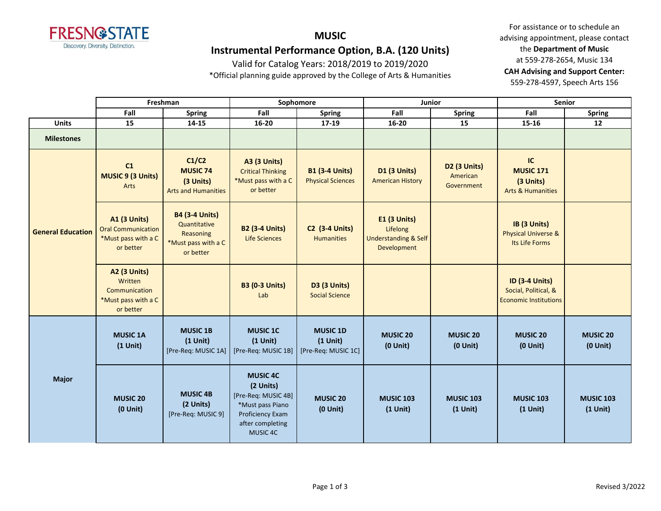

# **MUSIC Instrumental Performance Option, B.A. (120 Units)**

Valid for Catalog Years: 2018/2019 to 2019/2020

\*Official planning guide approved by the College of Arts & Humanities

|                          | Freshman                                                                             |                                                                                        |                                                                                                                             | Sophomore                                            | Junior                                                                            |                                        | <b>Senior</b>                                                                 |                                |
|--------------------------|--------------------------------------------------------------------------------------|----------------------------------------------------------------------------------------|-----------------------------------------------------------------------------------------------------------------------------|------------------------------------------------------|-----------------------------------------------------------------------------------|----------------------------------------|-------------------------------------------------------------------------------|--------------------------------|
|                          | Fall                                                                                 | <b>Spring</b>                                                                          | Fall                                                                                                                        | <b>Spring</b>                                        | Fall                                                                              | <b>Spring</b>                          | Fall                                                                          | <b>Spring</b>                  |
| <b>Units</b>             | 15                                                                                   | 14-15                                                                                  | 16-20                                                                                                                       | 17-19                                                | 16-20                                                                             | 15                                     | 15-16                                                                         | 12                             |
| <b>Milestones</b>        |                                                                                      |                                                                                        |                                                                                                                             |                                                      |                                                                                   |                                        |                                                                               |                                |
|                          | C1<br><b>MUSIC 9 (3 Units)</b><br>Arts                                               | C1/C2<br><b>MUSIC 74</b><br>(3 Units)<br><b>Arts and Humanities</b>                    | <b>A3 (3 Units)</b><br><b>Critical Thinking</b><br>*Must pass with a C<br>or better                                         | <b>B1 (3-4 Units)</b><br><b>Physical Sciences</b>    | <b>D1 (3 Units)</b><br><b>American History</b>                                    | D2 (3 Units)<br>American<br>Government | IC<br><b>MUSIC 171</b><br>(3 Units)<br><b>Arts &amp; Humanities</b>           |                                |
| <b>General Education</b> | <b>A1 (3 Units)</b><br><b>Oral Communication</b><br>*Must pass with a C<br>or better | <b>B4 (3-4 Units)</b><br>Quantitative<br>Reasoning<br>*Must pass with a C<br>or better | <b>B2 (3-4 Units)</b><br><b>Life Sciences</b>                                                                               | <b>C2 (3-4 Units)</b><br><b>Humanities</b>           | <b>E1 (3 Units)</b><br>Lifelong<br><b>Understanding &amp; Self</b><br>Development |                                        | IB (3 Units)<br><b>Physical Universe &amp;</b><br>Its Life Forms              |                                |
|                          | <b>A2 (3 Units)</b><br>Written<br>Communication<br>*Must pass with a C<br>or better  |                                                                                        | <b>B3 (0-3 Units)</b><br>Lab                                                                                                | <b>D3 (3 Units)</b><br><b>Social Science</b>         |                                                                                   |                                        | <b>ID (3-4 Units)</b><br>Social, Political, &<br><b>Economic Institutions</b> |                                |
|                          | <b>MUSIC 1A</b><br>$(1$ Unit)                                                        | <b>MUSIC 1B</b><br>$(1$ Unit)<br>[Pre-Req: MUSIC 1A]                                   | <b>MUSIC 1C</b><br>$(1$ Unit)<br>[Pre-Req: MUSIC 1B]                                                                        | <b>MUSIC 1D</b><br>$(1$ Unit)<br>[Pre-Req: MUSIC 1C] | <b>MUSIC 20</b><br>$(0$ Unit $)$                                                  | <b>MUSIC 20</b><br>$(0$ Unit $)$       | <b>MUSIC 20</b><br>$(0$ Unit)                                                 | <b>MUSIC 20</b><br>$(0$ Unit)  |
| <b>Major</b>             | <b>MUSIC 20</b><br>$(0$ Unit $)$                                                     | <b>MUSIC 4B</b><br>(2 Units)<br>[Pre-Req: MUSIC 9]                                     | <b>MUSIC 4C</b><br>(2 Units)<br>[Pre-Req: MUSIC 4B]<br>*Must pass Piano<br>Proficiency Exam<br>after completing<br>MUSIC 4C | <b>MUSIC 20</b><br>$(0$ Unit)                        | <b>MUSIC 103</b><br>$(1$ Unit)                                                    | <b>MUSIC 103</b><br>$(1$ Unit)         | <b>MUSIC 103</b><br>$(1$ Unit)                                                | <b>MUSIC 103</b><br>$(1$ Unit) |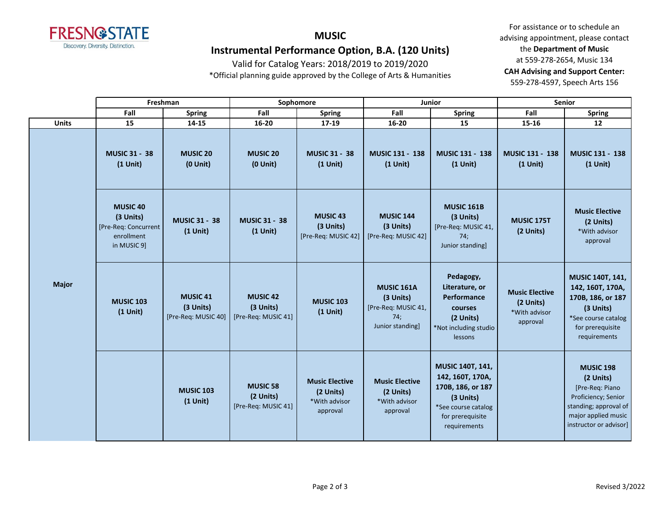

# **MUSIC Instrumental Performance Option, B.A. (120 Units)**

Valid for Catalog Years: 2018/2019 to 2019/2020

\*Official planning guide approved by the College of Arts & Humanities

|              |                                                                                        | Freshman                                            |                                                     | Sophomore                                                       |                                                                                  | <b>Junior</b>                                                                                                                     |                                                                 | <b>Senior</b>                                                                                                                                     |
|--------------|----------------------------------------------------------------------------------------|-----------------------------------------------------|-----------------------------------------------------|-----------------------------------------------------------------|----------------------------------------------------------------------------------|-----------------------------------------------------------------------------------------------------------------------------------|-----------------------------------------------------------------|---------------------------------------------------------------------------------------------------------------------------------------------------|
|              | Fall                                                                                   | <b>Spring</b>                                       | Fall                                                | <b>Spring</b>                                                   | Fall                                                                             | <b>Spring</b>                                                                                                                     | Fall                                                            | <b>Spring</b>                                                                                                                                     |
| <b>Units</b> | 15                                                                                     |                                                     | 14-15<br>16-20                                      |                                                                 | $16 - 20$                                                                        | 15                                                                                                                                | 15-16                                                           | 12                                                                                                                                                |
| <b>Major</b> | <b>MUSIC 31 - 38</b><br>$(1$ Unit)                                                     | <b>MUSIC 20</b><br>$(0$ Unit $)$                    | <b>MUSIC 20</b><br>$(0$ Unit)                       | <b>MUSIC 31 - 38</b><br>$(1$ Unit)                              | <b>MUSIC 131 - 138</b><br>$(1$ Unit)                                             | <b>MUSIC 131 - 138</b><br>$(1$ Unit)                                                                                              | <b>MUSIC 131 - 138</b><br>$(1$ Unit)                            | <b>MUSIC 131 - 138</b><br>$(1$ Unit)                                                                                                              |
|              | MUSIC <sub>40</sub><br>(3 Units)<br>[Pre-Req: Concurrent]<br>enrollment<br>in MUSIC 9] | <b>MUSIC 31 - 38</b><br>$(1$ Unit)                  | <b>MUSIC 31 - 38</b><br>$(1$ Unit)                  | <b>MUSIC 43</b><br>(3 Units)<br>[Pre-Req: MUSIC 42]             | <b>MUSIC 144</b><br>(3 Units)<br>[Pre-Req: MUSIC 42]                             | <b>MUSIC 161B</b><br>(3 Units)<br>[Pre-Req: MUSIC 41,<br>74;<br>Junior standing                                                   | MUSIC 175T<br>(2 Units)                                         | <b>Music Elective</b><br>(2 Units)<br>*With advisor<br>approval                                                                                   |
|              | <b>MUSIC 103</b><br>$(1$ Unit)                                                         | <b>MUSIC 41</b><br>(3 Units)<br>[Pre-Req: MUSIC 40] | <b>MUSIC 42</b><br>(3 Units)<br>[Pre-Req: MUSIC 41] | <b>MUSIC 103</b><br>$(1$ Unit)                                  | <b>MUSIC 161A</b><br>(3 Units)<br>[Pre-Req: MUSIC 41,<br>74;<br>Junior standing] | Pedagogy,<br>Literature, or<br>Performance<br>courses<br>(2 Units)<br>*Not including studio<br>lessons                            | <b>Music Elective</b><br>(2 Units)<br>*With advisor<br>approval | <b>MUSIC 140T, 141,</b><br>142, 160T, 170A,<br>170B, 186, or 187<br>(3 Units)<br>*See course catalog<br>for prerequisite<br>requirements          |
|              |                                                                                        | <b>MUSIC 103</b><br>$(1$ Unit)                      | <b>MUSIC 58</b><br>(2 Units)<br>[Pre-Req: MUSIC 41] | <b>Music Elective</b><br>(2 Units)<br>*With advisor<br>approval | <b>Music Elective</b><br>(2 Units)<br>*With advisor<br>approval                  | MUSIC 140T, 141,<br>142, 160T, 170A,<br>170B, 186, or 187<br>(3 Units)<br>*See course catalog<br>for prerequisite<br>requirements |                                                                 | <b>MUSIC 198</b><br>(2 Units)<br>[Pre-Req: Piano<br>Proficiency; Senior<br>standing; approval of<br>major applied music<br>instructor or advisor] |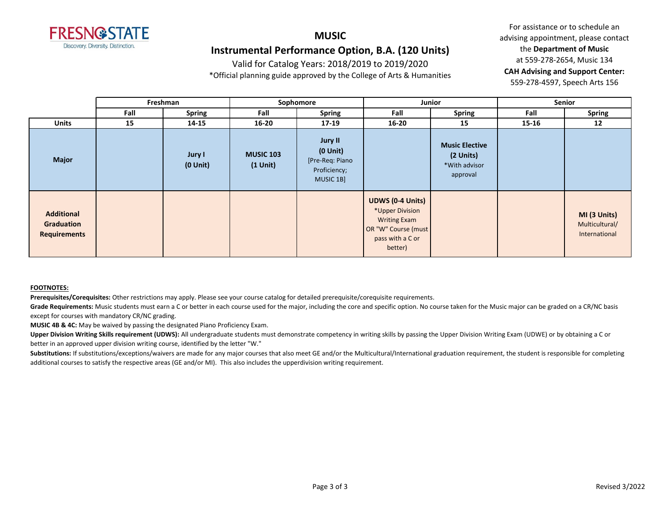

## **MUSIC Instrumental Performance Option, B.A. (120 Units)**

Valid for Catalog Years: 2018/2019 to 2019/2020

\*Official planning guide approved by the College of Arts & Humanities

For assistance or to schedule an advising appointment, please contact the **Department of Music** at 559-278-2654, Music 134 **CAH Advising and Support Center:**  559-278-4597, Speech Arts 156

|                                                               | Freshman |                         | Sophomore                      |                                                                                 | Junior                                                                                                                  |                                                                 | Senior    |                                                 |
|---------------------------------------------------------------|----------|-------------------------|--------------------------------|---------------------------------------------------------------------------------|-------------------------------------------------------------------------------------------------------------------------|-----------------------------------------------------------------|-----------|-------------------------------------------------|
|                                                               | Fall     | <b>Spring</b>           | Fall                           | <b>Spring</b>                                                                   |                                                                                                                         | <b>Spring</b>                                                   | Fall      | <b>Spring</b>                                   |
| <b>Units</b>                                                  | 15       | 14-15                   | $16 - 20$                      | $17-19$                                                                         | $16 - 20$                                                                                                               | 15                                                              | $15 - 16$ | 12                                              |
| <b>Major</b>                                                  |          | Jury I<br>$(0$ Unit $)$ | <b>MUSIC 103</b><br>$(1$ Unit) | <b>Jury II</b><br>$(0$ Unit $)$<br>[Pre-Req: Piano<br>Proficiency;<br>MUSIC 1B] |                                                                                                                         | <b>Music Elective</b><br>(2 Units)<br>*With advisor<br>approval |           |                                                 |
| <b>Additional</b><br><b>Graduation</b><br><b>Requirements</b> |          |                         |                                |                                                                                 | <b>UDWS (0-4 Units)</b><br>*Upper Division<br><b>Writing Exam</b><br>OR "W" Course (must<br>pass with a C or<br>better) |                                                                 |           | MI (3 Units)<br>Multicultural/<br>International |

#### **FOOTNOTES:**

**Prerequisites/Corequisites:** Other restrictions may apply. Please see your course catalog for detailed prerequisite/corequisite requirements.

Grade Requirements: Music students must earn a C or better in each course used for the major, including the core and specific option. No course taken for the Music major can be graded on a CR/NC basis except for courses with mandatory CR/NC grading.

**MUSIC 4B & 4C:** May be waived by passing the designated Piano Proficiency Exam.

Upper Division Writing Skills requirement (UDWS): All undergraduate students must demonstrate competency in writing skills by passing the Upper Division Writing Exam (UDWE) or by obtaining a C or better in an approved upper division writing course, identified by the letter "W."

Substitutions: If substitutions/exceptions/waivers are made for any major courses that also meet GE and/or the Multicultural/International graduation requirement, the student is responsible for completing additional courses to satisfy the respective areas (GE and/or MI). This also includes the upperdivision writing requirement.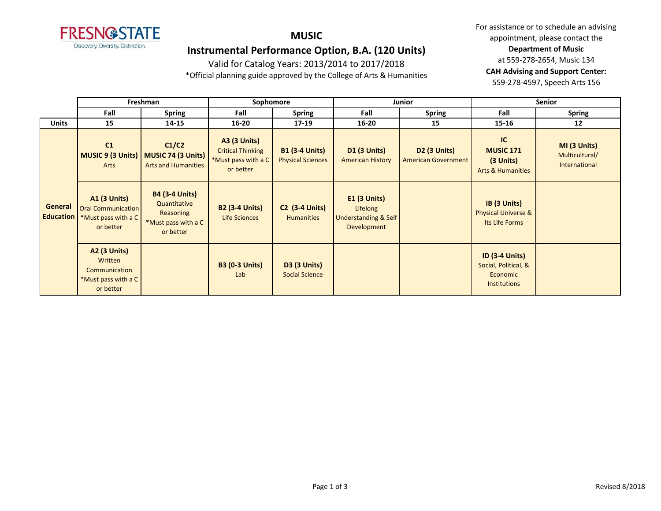

## **MUSIC**

## **Instrumental Performance Option, B.A. (120 Units)**

Valid for Catalog Years: 2013/2014 to 2017/2018

\*Official planning guide approved by the College of Arts & Humanities

|                             | Freshman                                                                             |                                                                                        | Sophomore                                                                           |                                                   |                                                                              | Junior                                            | <b>Senior</b>                                                                    |                                                 |
|-----------------------------|--------------------------------------------------------------------------------------|----------------------------------------------------------------------------------------|-------------------------------------------------------------------------------------|---------------------------------------------------|------------------------------------------------------------------------------|---------------------------------------------------|----------------------------------------------------------------------------------|-------------------------------------------------|
|                             | Fall                                                                                 | <b>Spring</b>                                                                          | Fall                                                                                | <b>Spring</b>                                     | Fall                                                                         | <b>Spring</b>                                     | Fall                                                                             | <b>Spring</b>                                   |
| <b>Units</b>                | 15                                                                                   | 14-15                                                                                  | $16 - 20$                                                                           | $17-19$                                           | $16 - 20$                                                                    | 15                                                | $15 - 16$                                                                        | 12                                              |
|                             | C <sub>1</sub><br><b>MUSIC 9 (3 Units)</b><br>Arts                                   | C1/C2<br>MUSIC 74 (3 Units)<br><b>Arts and Humanities</b>                              | <b>A3 (3 Units)</b><br><b>Critical Thinking</b><br>*Must pass with a C<br>or better | <b>B1 (3-4 Units)</b><br><b>Physical Sciences</b> | <b>D1 (3 Units)</b><br><b>American History</b>                               | <b>D2 (3 Units)</b><br><b>American Government</b> | IC<br><b>MUSIC 171</b><br>(3 Units)<br><b>Arts &amp; Humanities</b>              | MI (3 Units)<br>Multicultural/<br>International |
| General<br><b>Education</b> | <b>A1 (3 Units)</b><br><b>Oral Communication</b><br>*Must pass with a C<br>or better | <b>B4 (3-4 Units)</b><br>Quantitative<br>Reasoning<br>*Must pass with a C<br>or better | <b>B2 (3-4 Units)</b><br>Life Sciences                                              | <b>C2</b> (3-4 Units)<br><b>Humanities</b>        | $E1$ (3 Units)<br>Lifelong<br><b>Understanding &amp; Self</b><br>Development |                                                   | IB (3 Units)<br><b>Physical Universe &amp;</b><br>Its Life Forms                 |                                                 |
|                             | <b>A2 (3 Units)</b><br>Written<br>Communication<br>*Must pass with a C<br>or better  |                                                                                        | <b>B3 (0-3 Units)</b><br>Lab                                                        | <b>D3 (3 Units)</b><br><b>Social Science</b>      |                                                                              |                                                   | <b>ID (3-4 Units)</b><br>Social, Political, &<br>Economic<br><b>Institutions</b> |                                                 |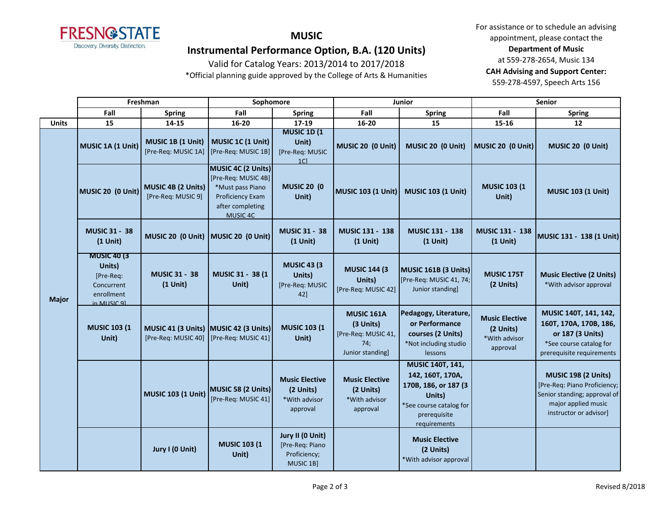

### **MUSIC**

## **Instrumental Performance Option, B.A. (120 Units)**

### Valid for Catalog Years: 2013/2014 to 2017/2018

\*Official planning guide approved by the College of Arts & Humanities

|              | Freshman                                                                               |                                                                                  | Sophomore                                                                                                                |                                                                   |                                                                                  | Junior                                                                                                                            | Senior                                                          |                                                                                                                                             |
|--------------|----------------------------------------------------------------------------------------|----------------------------------------------------------------------------------|--------------------------------------------------------------------------------------------------------------------------|-------------------------------------------------------------------|----------------------------------------------------------------------------------|-----------------------------------------------------------------------------------------------------------------------------------|-----------------------------------------------------------------|---------------------------------------------------------------------------------------------------------------------------------------------|
|              | Fall                                                                                   | <b>Spring</b>                                                                    | Fall                                                                                                                     | <b>Spring</b>                                                     | Fall                                                                             | <b>Spring</b>                                                                                                                     | Fall                                                            | <b>Spring</b>                                                                                                                               |
| <b>Units</b> | 15                                                                                     | 14-15                                                                            | 16-20                                                                                                                    | $17 - 19$                                                         | 16-20                                                                            | 15                                                                                                                                | 15-16                                                           | 12                                                                                                                                          |
| <b>Major</b> | MUSIC 1A (1 Unit)                                                                      | MUSIC 1B (1 Unit)<br>[Pre-Req: MUSIC 1A] [Pre-Req: MUSIC 1B]                     | MUSIC 1C (1 Unit)                                                                                                        | <b>MUSIC 1D (1)</b><br>Unit)<br>[Pre-Req: MUSIC<br>1 <sup>C</sup> | MUSIC 20 (0 Unit)                                                                | MUSIC 20 (0 Unit)                                                                                                                 | MUSIC 20 (0 Unit)                                               | MUSIC 20 (0 Unit)                                                                                                                           |
|              | MUSIC 20 (0 Unit)                                                                      | MUSIC 4B (2 Units)<br>[Pre-Req: MUSIC 9]                                         | <b>MUSIC 4C (2 Units)</b><br>[Pre-Req: MUSIC 4B]<br>*Must pass Piano<br>Proficiency Exam<br>after completing<br>MUSIC 4C | <b>MUSIC 20 (0)</b><br>Unit)                                      | MUSIC 103 (1 Unit)                                                               | <b>MUSIC 103 (1 Unit)</b>                                                                                                         | <b>MUSIC 103 (1)</b><br>Unit)                                   | <b>MUSIC 103 (1 Unit)</b>                                                                                                                   |
|              | <b>MUSIC 31 - 38</b><br>$(1$ Unit)                                                     | MUSIC 20 (0 Unit) MUSIC 20 (0 Unit)                                              |                                                                                                                          | <b>MUSIC 31 - 38</b><br>$(1$ Unit)                                | MUSIC 131 - 138<br>$(1$ Unit)                                                    | MUSIC 131 - 138<br>$(1$ Unit)                                                                                                     | MUSIC 131 - 138<br>$(1$ Unit)                                   | MUSIC 131 - 138 (1 Unit)                                                                                                                    |
|              | <b>MUSIC 40 (3)</b><br>Units)<br>[Pre-Req:<br>Concurrent<br>enrollment<br>in MIJSIC 91 | <b>MUSIC 31 - 38</b><br>$(1$ Unit)                                               | MUSIC 31 - 38 (1<br>Unit)                                                                                                | <b>MUSIC 43 (3)</b><br>Units)<br>[Pre-Req: MUSIC<br>42]           | <b>MUSIC 144 (3)</b><br>Units)<br>[Pre-Req: MUSIC 42]                            | MUSIC 161B (3 Units)<br>[Pre-Req: MUSIC 41, 74;<br>Junior standing]                                                               | MUSIC 175T<br>(2 Units)                                         | <b>Music Elective (2 Units)</b><br>*With advisor approval                                                                                   |
|              | <b>MUSIC 103 (1</b><br>Unit)                                                           | MUSIC 41 (3 Units) MUSIC 42 (3 Units)<br>[Pre-Req: MUSIC 40] [Pre-Req: MUSIC 41] |                                                                                                                          | <b>MUSIC 103 (1</b><br>Unit)                                      | <b>MUSIC 161A</b><br>(3 Units)<br>[Pre-Req: MUSIC 41,<br>74;<br>Junior standing] | Pedagogy, Literature,<br>or Performance<br>courses (2 Units)<br>*Not including studio<br><b>lessons</b>                           | <b>Music Elective</b><br>(2 Units)<br>*With advisor<br>approval | MUSIC 140T, 141, 142,<br>160T, 170A, 170B, 186,<br>or 187 (3 Units)<br>*See course catalog for<br>prerequisite requirements                 |
|              |                                                                                        | MUSIC 103 (1 Unit)                                                               | MUSIC 58 (2 Units)<br>[Pre-Req: MUSIC 41]                                                                                | <b>Music Elective</b><br>(2 Units)<br>*With advisor<br>approval   | <b>Music Elective</b><br>(2 Units)<br>*With advisor<br>approval                  | MUSIC 140T, 141,<br>142, 160T, 170A,<br>170B, 186, or 187 (3<br>Units)<br>*See course catalog for<br>prerequisite<br>requirements |                                                                 | <b>MUSIC 198 (2 Units)</b><br>[Pre-Req: Piano Proficiency;<br>Senior standing; approval of<br>major applied music<br>instructor or advisor] |
|              |                                                                                        | Jury I (0 Unit)                                                                  | <b>MUSIC 103 (1</b><br>Unit)                                                                                             | Jury II (0 Unit)<br>[Pre-Req: Piano<br>Proficiency;<br>MUSIC 1B]  |                                                                                  | <b>Music Elective</b><br>(2 Units)<br>*With advisor approval                                                                      |                                                                 |                                                                                                                                             |